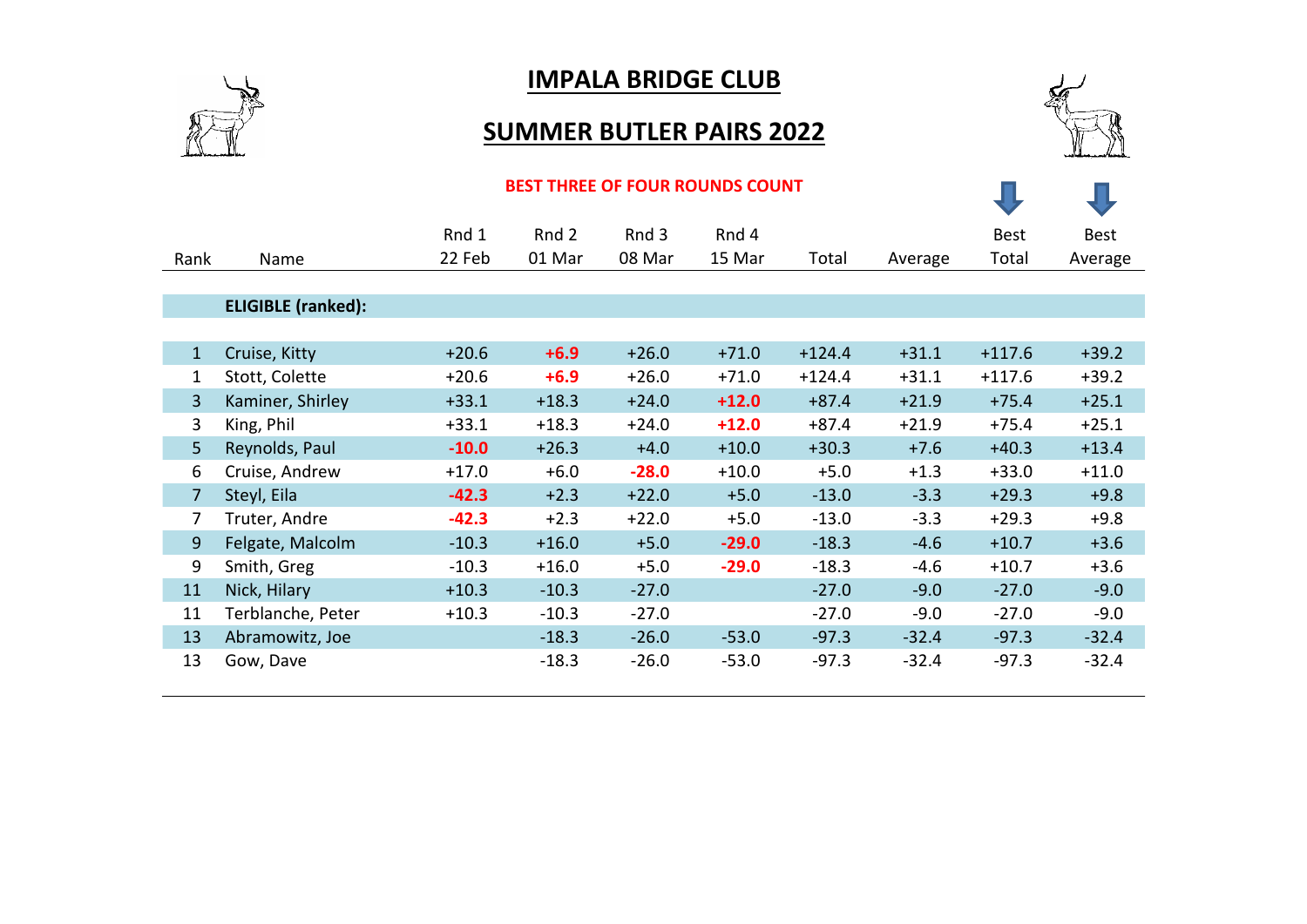

## **IMPALA BRIDGE CLUB**

## **SUMMER BUTLER PAIRS 2022**



## **BEST THREE OF FOUR ROUNDS COUNT**

| Rank           | Name                      | Rnd 1<br>22 Feb | Rnd 2<br>01 Mar | Rnd 3<br>08 Mar | Rnd 4<br>15 Mar | Total    | Average | <b>Best</b><br>Total | <b>Best</b><br>Average |
|----------------|---------------------------|-----------------|-----------------|-----------------|-----------------|----------|---------|----------------------|------------------------|
|                |                           |                 |                 |                 |                 |          |         |                      |                        |
|                | <b>ELIGIBLE (ranked):</b> |                 |                 |                 |                 |          |         |                      |                        |
|                |                           |                 |                 |                 |                 |          |         |                      |                        |
| $\mathbf{1}$   | Cruise, Kitty             | $+20.6$         | $+6.9$          | $+26.0$         | $+71.0$         | $+124.4$ | $+31.1$ | $+117.6$             | $+39.2$                |
| 1              | Stott, Colette            | $+20.6$         | $+6.9$          | $+26.0$         | $+71.0$         | $+124.4$ | $+31.1$ | $+117.6$             | $+39.2$                |
| $\overline{3}$ | Kaminer, Shirley          | $+33.1$         | $+18.3$         | $+24.0$         | $+12.0$         | $+87.4$  | $+21.9$ | $+75.4$              | $+25.1$                |
| 3              | King, Phil                | $+33.1$         | $+18.3$         | $+24.0$         | $+12.0$         | $+87.4$  | $+21.9$ | $+75.4$              | $+25.1$                |
| 5 <sup>1</sup> | Reynolds, Paul            | $-10.0$         | $+26.3$         | $+4.0$          | $+10.0$         | $+30.3$  | $+7.6$  | $+40.3$              | $+13.4$                |
| 6              | Cruise, Andrew            | $+17.0$         | $+6.0$          | $-28.0$         | $+10.0$         | $+5.0$   | $+1.3$  | $+33.0$              | $+11.0$                |
| $\overline{7}$ | Steyl, Eila               | $-42.3$         | $+2.3$          | $+22.0$         | $+5.0$          | $-13.0$  | $-3.3$  | $+29.3$              | $+9.8$                 |
| 7              | Truter, Andre             | $-42.3$         | $+2.3$          | $+22.0$         | $+5.0$          | $-13.0$  | $-3.3$  | $+29.3$              | $+9.8$                 |
| 9              | Felgate, Malcolm          | $-10.3$         | $+16.0$         | $+5.0$          | $-29.0$         | $-18.3$  | $-4.6$  | $+10.7$              | $+3.6$                 |
| 9              | Smith, Greg               | $-10.3$         | $+16.0$         | $+5.0$          | $-29.0$         | $-18.3$  | $-4.6$  | $+10.7$              | $+3.6$                 |
| 11             | Nick, Hilary              | $+10.3$         | $-10.3$         | $-27.0$         |                 | $-27.0$  | $-9.0$  | $-27.0$              | $-9.0$                 |
| 11             | Terblanche, Peter         | $+10.3$         | $-10.3$         | $-27.0$         |                 | $-27.0$  | $-9.0$  | $-27.0$              | $-9.0$                 |
| 13             | Abramowitz, Joe           |                 | $-18.3$         | $-26.0$         | $-53.0$         | $-97.3$  | $-32.4$ | $-97.3$              | $-32.4$                |
| 13             | Gow, Dave                 |                 | $-18.3$         | $-26.0$         | $-53.0$         | $-97.3$  | $-32.4$ | $-97.3$              | $-32.4$                |